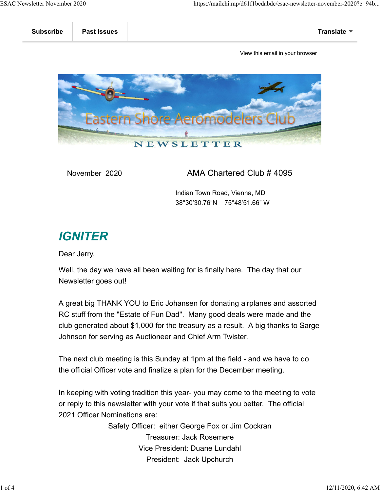

November 2020 AMA Chartered Club # 4095

 Indian Town Road, Vienna, MD 38°30'30.76"N 75°48'51.66" W

# **IGNITER**

Dear Jerry,

Well, the day we have all been waiting for is finally here. The day that our Newsletter goes out!

A great big THANK YOU to Eric Johansen for donating airplanes and assorted RC stuff from the "Estate of Fun Dad". Many good deals were made and the club generated about \$1,000 for the treasury as a result. A big thanks to Sarge Johnson for serving as Auctioneer and Chief Arm Twister.

The next club meeting is this Sunday at 1pm at the field - and we have to do the official Officer vote and finalize a plan for the December meeting.

In keeping with voting tradition this year- you may come to the meeting to vote or reply to this newsletter with your vote if that suits you better. The official 2021 Officer Nominations are:

> Safety Officer: either George Fox or Jim Cockran Treasurer: Jack Rosemere Vice President: Duane Lundahl President: Jack Upchurch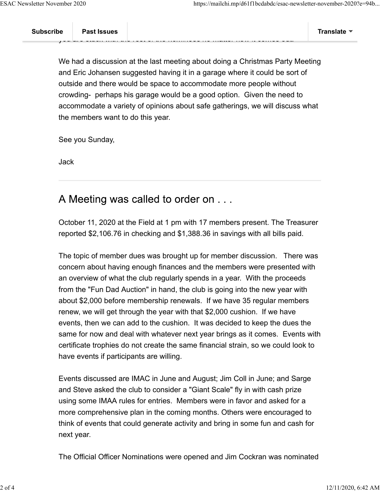We had a discussion at the last meeting about doing a Christmas Party Meeting and Eric Johansen suggested having it in a garage where it could be sort of outside and there would be space to accommodate more people without crowding- perhaps his garage would be a good option. Given the need to accommodate a variety of opinions about safe gatherings, we will discuss what the members want to do this year.

See you Sunday,

Jack

### A Meeting was called to order on . . .

October 11, 2020 at the Field at 1 pm with 17 members present. The Treasurer reported \$2,106.76 in checking and \$1,388.36 in savings with all bills paid.

The topic of member dues was brought up for member discussion. There was concern about having enough finances and the members were presented with an overview of what the club regularly spends in a year. With the proceeds from the "Fun Dad Auction" in hand, the club is going into the new year with about \$2,000 before membership renewals. If we have 35 regular members renew, we will get through the year with that \$2,000 cushion. If we have events, then we can add to the cushion. It was decided to keep the dues the same for now and deal with whatever next year brings as it comes. Events with certificate trophies do not create the same financial strain, so we could look to have events if participants are willing.

Events discussed are IMAC in June and August; Jim Coll in June; and Sarge and Steve asked the club to consider a "Giant Scale" fly in with cash prize using some IMAA rules for entries. Members were in favor and asked for a more comprehensive plan in the coming months. Others were encouraged to think of events that could generate activity and bring in some fun and cash for next year.

The Official Officer Nominations were opened and Jim Cockran was nominated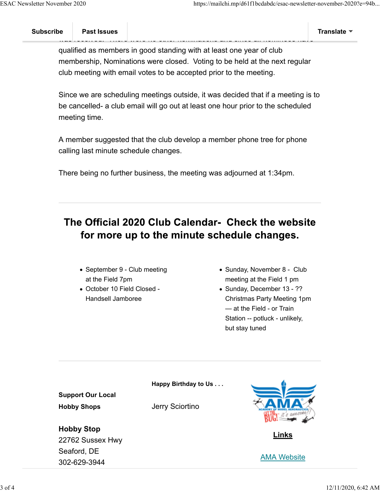was recented. There here no other nominations and since all nominees have qualified as members in good standing with at least one year of club membership, Nominations were closed. Voting to be held at the next regular club meeting with email votes to be accepted prior to the meeting.

Since we are scheduling meetings outside, it was decided that if a meeting is to be cancelled- a club email will go out at least one hour prior to the scheduled meeting time.

A member suggested that the club develop a member phone tree for phone calling last minute schedule changes.

There being no further business, the meeting was adjourned at 1:34pm.

## The Official 2020 Club Calendar- Check the website for more up to the minute schedule changes.

- September 9 Club meeting at the Field 7pm
- October 10 Field Closed Handsell Jamboree
- Sunday, November 8 Club meeting at the Field 1 pm
- Sunday, December 13 ?? Christmas Party Meeting 1pm — at the Field - or Train Station -- potluck - unlikely, but stay tuned

**Happy Birthday to Us . . .**

**Support Our Local Hobby Shops**

Jerry Sciortino



**Links**



**Hobby Stop** 22762 Sussex Hwy Seaford, DE 302-629-3944